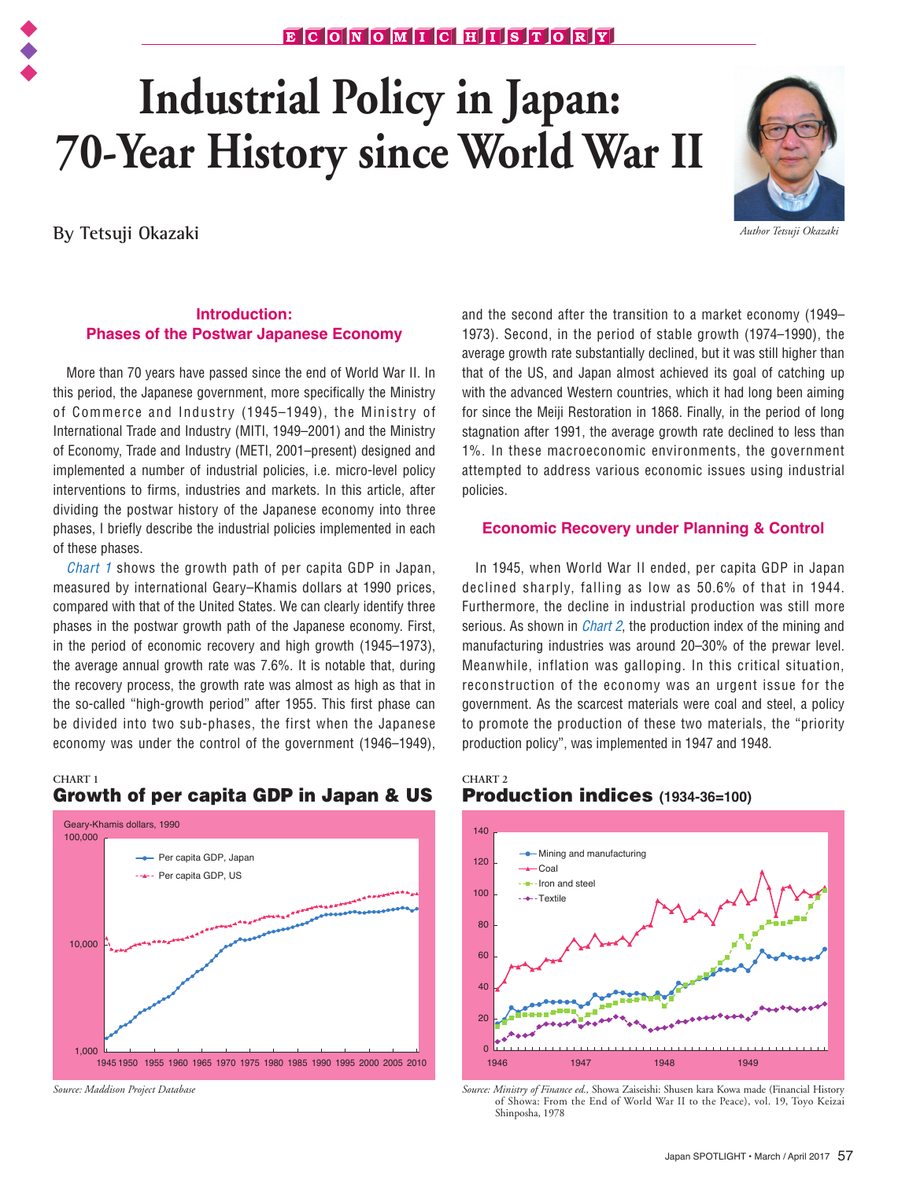# $E C C N G M T C H T S T G R T$

# **Industrial Policy in Japan: 70-Year History since World War II**

**By Tetsuji Okazaki**



*Author Tetsuji Okazaki*

# **Introduction: Phases of the Postwar Japanese Economy**

more than 10 years have passed since the site of World War in in implemented a number of industrial policies, i.e. micro-level policy More than 70 years have passed since the end of World War II. In of Commerce and Industry (1945–1949), the Ministry of International Trade and Industry (MITI, 1949–2001) and the Ministry of Economy, Trade and Industry (METI, 2001–present) designed and interventions to firms, industries and markets. In this article, after dividing the postwar history of the Japanese economy into three phases, I briefly describe the industrial policies implemented in each of these phases.

*Chart 1* shows the growth path of per capita GDP in Japan, measured by international Geary–Khamis dollars at 1990 prices, compared with that of the United States. We can clearly identify three phases in the postwar growth path of the Japanese economy. First, in the period of economic recovery and high growth (1945–1973), the average annual growth rate was 7.6%. It is notable that, during the recovery process, the growth rate was almost as high as that in the so-called "high-growth period" after 1955. This first phase can be divided into two sub-phases, the first when the Japanese economy was under the control of the government (1946–1949),

#### **CHART 1**





*Source: Maddison Project Database*

and the second after the transition to a market economy (1949– 1973). Second, in the period of stable growth (1974–1990), the average growth rate substantially declined, but it was still higher than that of the US, and Japan almost achieved its goal of catching up with the advanced Western countries, which it had long been aiming for since the Meiji Restoration in 1868. Finally, in the period of long stagnation after 1991, the average growth rate declined to less than 1%. In these macroeconomic environments, the government attempted to address various economic issues using industrial policies.

### **Economic Recovery under Planning & Control**

In 1945, when World War II ended, per capita GDP in Japan declined sharply, falling as low as 50.6% of that in 1944. Furthermore, the decline in industrial production was still more serious. As shown in *Chart 2*, the production index of the mining and manufacturing industries was around 20–30% of the prewar level. Meanwhile, inflation was galloping. In this critical situation, reconstruction of the economy was an urgent issue for the government. As the scarcest materials were coal and steel, a policy to promote the production of these two materials, the "priority production policy", was implemented in 1947 and 1948.

# **CHART 2** Production indices **(1934-36=100)**



*Source: Ministry of Finance ed.,* Showa Zaiseishi: Shusen kara Kowa made (Financial History of Showa: From the End of World War II to the Peace), vol. 19, Toyo Keizai Shinposha, 1978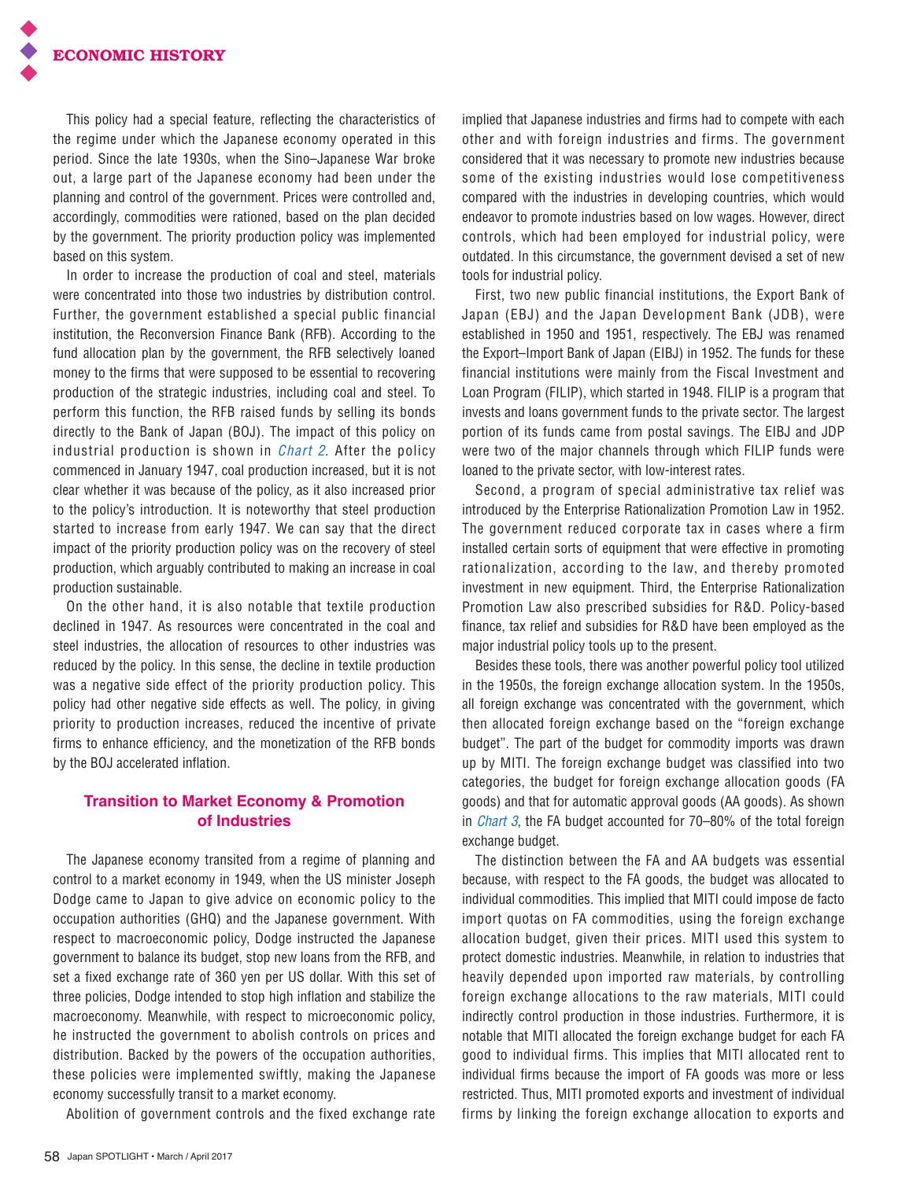This policy had a special feature, reflecting the characteristics of the regime under which the Japanese economy operated in this period. Since the late 1930s, when the Sino–Japanese War broke out, a large part of the Japanese economy had been under the planning and control of the government. Prices were controlled and, accordingly, commodities were rationed, based on the plan decided by the government. The priority production policy was implemented based on this system.

In order to increase the production of coal and steel, materials were concentrated into those two industries by distribution control. Further, the government established a special public financial institution, the Reconversion Finance Bank (RFB). According to the fund allocation plan by the government, the RFB selectively loaned money to the firms that were supposed to be essential to recovering production of the strategic industries, including coal and steel. To perform this function, the RFB raised funds by selling its bonds directly to the Bank of Japan (BOJ). The impact of this policy on industrial production is shown in *Chart 2*. After the policy commenced in January 1947, coal production increased, but it is not clear whether it was because of the policy, as it also increased prior to the policy's introduction. It is noteworthy that steel production started to increase from early 1947. We can say that the direct impact of the priority production policy was on the recovery of steel production, which arguably contributed to making an increase in coal production sustainable.

On the other hand, it is also notable that textile production declined in 1947. As resources were concentrated in the coal and steel industries, the allocation of resources to other industries was reduced by the policy. In this sense, the decline in textile production was a negative side effect of the priority production policy. This policy had other negative side effects as well. The policy, in giving priority to production increases, reduced the incentive of private firms to enhance efficiency, and the monetization of the RFB bonds by the BOJ accelerated inflation.

# **Transition to Market Economy & Promotion of Industries**

The Japanese economy transited from a regime of planning and control to a market economy in 1949, when the US minister Joseph Dodge came to Japan to give advice on economic policy to the occupation authorities (GHQ) and the Japanese government. With respect to macroeconomic policy, Dodge instructed the Japanese government to balance its budget, stop new loans from the RFB, and set a fixed exchange rate of 360 yen per US dollar. With this set of three policies, Dodge intended to stop high inflation and stabilize the macroeconomy. Meanwhile, with respect to microeconomic policy, he instructed the government to abolish controls on prices and distribution. Backed by the powers of the occupation authorities, these policies were implemented swiftly, making the Japanese economy successfully transit to a market economy.

Abolition of government controls and the fixed exchange rate

implied that Japanese industries and firms had to compete with each other and with foreign industries and firms. The government considered that it was necessary to promote new industries because some of the existing industries would lose competitiveness compared with the industries in developing countries, which would endeavor to promote industries based on low wages. However, direct controls, which had been employed for industrial policy, were outdated. In this circumstance, the government devised a set of new tools for industrial policy.

First, two new public financial institutions, the Export Bank of Japan (EBJ) and the Japan Development Bank (JDB), were established in 1950 and 1951, respectively. The EBJ was renamed the Export–Import Bank of Japan (EIBJ) in 1952. The funds for these financial institutions were mainly from the Fiscal Investment and Loan Program (FILIP), which started in 1948. FILIP is a program that invests and loans government funds to the private sector. The largest portion of its funds came from postal savings. The EIBJ and JDP were two of the major channels through which FILIP funds were loaned to the private sector, with low-interest rates.

Second, a program of special administrative tax relief was introduced by the Enterprise Rationalization Promotion Law in 1952. The government reduced corporate tax in cases where a firm installed certain sorts of equipment that were effective in promoting rationalization, according to the law, and thereby promoted investment in new equipment. Third, the Enterprise Rationalization Promotion Law also prescribed subsidies for R&D. Policy-based finance, tax relief and subsidies for R&D have been employed as the major industrial policy tools up to the present.

Besides these tools, there was another powerful policy tool utilized in the 1950s, the foreign exchange allocation system. In the 1950s, all foreign exchange was concentrated with the government, which then allocated foreign exchange based on the "foreign exchange budget". The part of the budget for commodity imports was drawn up by MITI. The foreign exchange budget was classified into two categories, the budget for foreign exchange allocation goods (FA goods) and that for automatic approval goods (AA goods). As shown in *Chart 3*, the FA budget accounted for 70–80% of the total foreign exchange budget.

The distinction between the FA and AA budgets was essential because, with respect to the FA goods, the budget was allocated to individual commodities. This implied that MITI could impose de facto import quotas on FA commodities, using the foreign exchange allocation budget, given their prices. MITI used this system to protect domestic industries. Meanwhile, in relation to industries that heavily depended upon imported raw materials, by controlling foreign exchange allocations to the raw materials, MITI could indirectly control production in those industries. Furthermore, it is notable that MITI allocated the foreign exchange budget for each FA good to individual firms. This implies that MITI allocated rent to individual firms because the import of FA goods was more or less restricted. Thus, MITI promoted exports and investment of individual firms by linking the foreign exchange allocation to exports and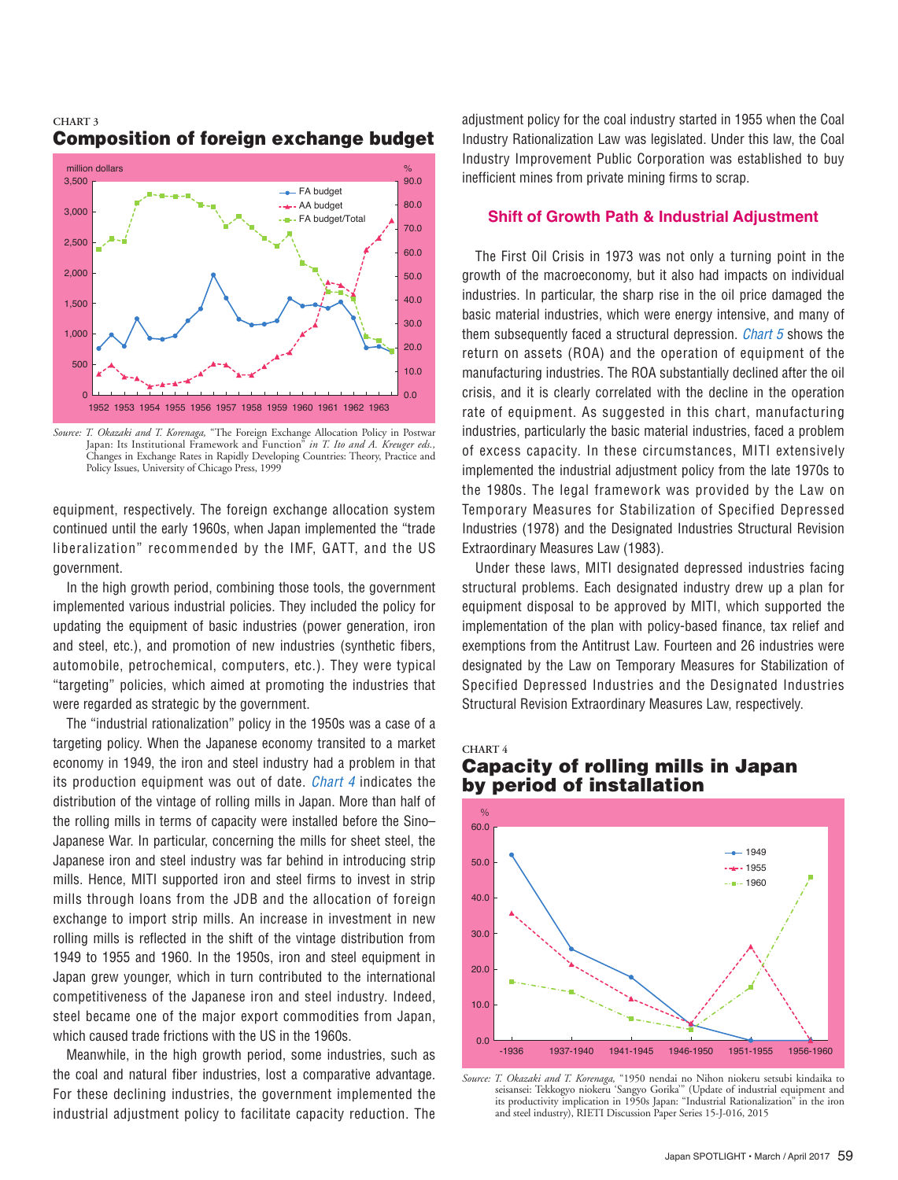

#### **CHART 3** Composition of foreign exchange budget

*Source: T. Okazaki and T. Korenaga,* "The Foreign Exchange Allocation Policy in Postwar Japan: Its Institutional Framework and Function" *in T. Ito and A. Kreuger eds.,*  Changes in Exchange Rates in Rapidly Developing Countries: Theory, Practice and Policy Issues, University of Chicago Press, 1999

equipment, respectively. The foreign exchange allocation system continued until the early 1960s, when Japan implemented the "trade liberalization" recommended by the IMF, GATT, and the US government.

In the high growth period, combining those tools, the government implemented various industrial policies. They included the policy for updating the equipment of basic industries (power generation, iron and steel, etc.), and promotion of new industries (synthetic fibers, automobile, petrochemical, computers, etc.). They were typical "targeting" policies, which aimed at promoting the industries that were regarded as strategic by the government.

The "industrial rationalization" policy in the 1950s was a case of a targeting policy. When the Japanese economy transited to a market economy in 1949, the iron and steel industry had a problem in that its production equipment was out of date. *Chart 4* indicates the distribution of the vintage of rolling mills in Japan. More than half of the rolling mills in terms of capacity were installed before the Sino– Japanese War. In particular, concerning the mills for sheet steel, the Japanese iron and steel industry was far behind in introducing strip mills. Hence, MITI supported iron and steel firms to invest in strip mills through loans from the JDB and the allocation of foreign exchange to import strip mills. An increase in investment in new rolling mills is reflected in the shift of the vintage distribution from 1949 to 1955 and 1960. In the 1950s, iron and steel equipment in Japan grew younger, which in turn contributed to the international competitiveness of the Japanese iron and steel industry. Indeed, steel became one of the major export commodities from Japan, which caused trade frictions with the US in the 1960s.

Meanwhile, in the high growth period, some industries, such as the coal and natural fiber industries, lost a comparative advantage. For these declining industries, the government implemented the industrial adjustment policy to facilitate capacity reduction. The adjustment policy for the coal industry started in 1955 when the Coal Industry Rationalization Law was legislated. Under this law, the Coal Industry Improvement Public Corporation was established to buy inefficient mines from private mining firms to scrap.

#### **Shift of Growth Path & Industrial Adjustment**

The First Oil Crisis in 1973 was not only a turning point in the growth of the macroeconomy, but it also had impacts on individual industries. In particular, the sharp rise in the oil price damaged the basic material industries, which were energy intensive, and many of them subsequently faced a structural depression. *Chart 5* shows the return on assets (ROA) and the operation of equipment of the manufacturing industries. The ROA substantially declined after the oil crisis, and it is clearly correlated with the decline in the operation rate of equipment. As suggested in this chart, manufacturing industries, particularly the basic material industries, faced a problem of excess capacity. In these circumstances, MITI extensively implemented the industrial adjustment policy from the late 1970s to the 1980s. The legal framework was provided by the Law on Temporary Measures for Stabilization of Specified Depressed Industries (1978) and the Designated Industries Structural Revision Extraordinary Measures Law (1983).

Under these laws, MITI designated depressed industries facing structural problems. Each designated industry drew up a plan for equipment disposal to be approved by MITI, which supported the implementation of the plan with policy-based finance, tax relief and exemptions from the Antitrust Law. Fourteen and 26 industries were designated by the Law on Temporary Measures for Stabilization of Specified Depressed Industries and the Designated Industries Structural Revision Extraordinary Measures Law, respectively.

**CHART 4**

# Capacity of rolling mills in Japan by period of installation



*Source: T. Okazaki and T. Korenaga,* "1950 nendai no Nihon niokeru setsubi kindaika to seisansei: Tekkogyo niokeru 'Sangyo Gorika'" (Update of industrial equipment and its productivity implication in 1950s Japan: "Industrial Rationalization" in the iron and steel industry), RIETI Discussion Paper Series 15-J-016, 2015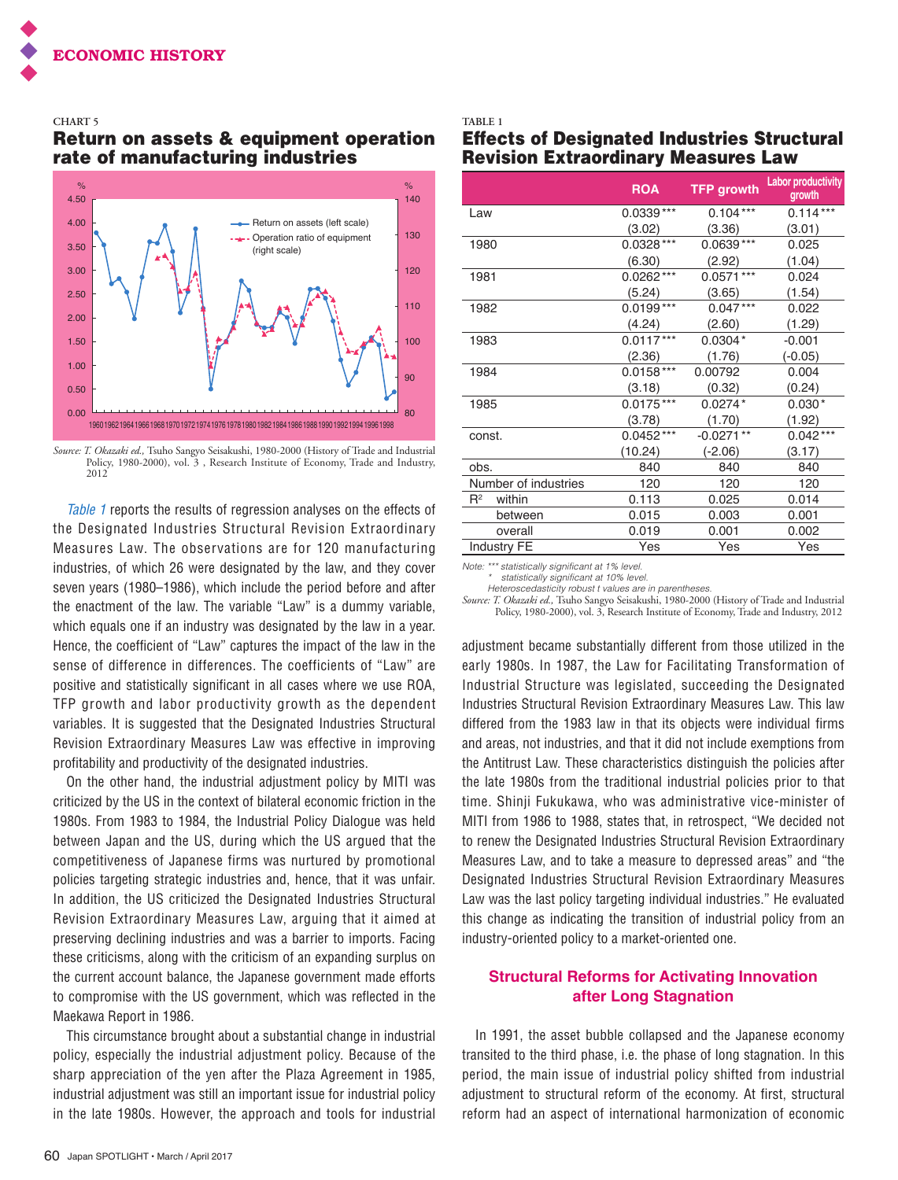#### **CHART 5**

# Return on assets & equipment operation rate of manufacturing industries



*Source: T. Okazaki ed.,* Tsuho Sangyo Seisakushi, 1980-2000 (History of Trade and Industrial Policy, 1980-2000), vol. 3 , Research Institute of Economy, Trade and Industry, 2012

*Table 1* reports the results of regression analyses on the effects of the Designated Industries Structural Revision Extraordinary Measures Law. The observations are for 120 manufacturing industries, of which 26 were designated by the law, and they cover seven years (1980–1986), which include the period before and after the enactment of the law. The variable "Law" is a dummy variable, which equals one if an industry was designated by the law in a year. Hence, the coefficient of "Law" captures the impact of the law in the sense of difference in differences. The coefficients of "Law" are positive and statistically significant in all cases where we use ROA, TFP growth and labor productivity growth as the dependent variables. It is suggested that the Designated Industries Structural Revision Extraordinary Measures Law was effective in improving profitability and productivity of the designated industries.

On the other hand, the industrial adjustment policy by MITI was criticized by the US in the context of bilateral economic friction in the 1980s. From 1983 to 1984, the Industrial Policy Dialogue was held between Japan and the US, during which the US argued that the competitiveness of Japanese firms was nurtured by promotional policies targeting strategic industries and, hence, that it was unfair. In addition, the US criticized the Designated Industries Structural Revision Extraordinary Measures Law, arguing that it aimed at preserving declining industries and was a barrier to imports. Facing these criticisms, along with the criticism of an expanding surplus on the current account balance, the Japanese government made efforts to compromise with the US government, which was reflected in the Maekawa Report in 1986.

This circumstance brought about a substantial change in industrial policy, especially the industrial adjustment policy. Because of the sharp appreciation of the yen after the Plaza Agreement in 1985, industrial adjustment was still an important issue for industrial policy in the late 1980s. However, the approach and tools for industrial

# Effects of Designated Industries Structural Revision Extraordinary Measures Law

|                      | <b>ROA</b>  | <b>TFP growth</b> | <b>Labor productivity</b><br>growth |
|----------------------|-------------|-------------------|-------------------------------------|
| Law                  | $0.0339***$ | $0.104***$        | $0.114***$                          |
|                      | (3.02)      | (3.36)            | (3.01)                              |
| 1980                 | $0.0328***$ | $0.0639***$       | 0.025                               |
|                      | (6.30)      | (2.92)            | (1.04)                              |
| 1981                 | $0.0262***$ | $0.0571***$       | 0.024                               |
|                      | (5.24)      | (3.65)            | (1.54)                              |
| 1982                 | $0.0199***$ | $0.047***$        | 0.022                               |
|                      | (4.24)      | (2.60)            | (1.29)                              |
| 1983                 | $0.0117***$ | $0.0304*$         | $-0.001$                            |
|                      | (2.36)      | (1.76)            | $(-0.05)$                           |
| 1984                 | $0.0158***$ | 0.00792           | 0.004                               |
|                      | (3.18)      | (0.32)            | (0.24)                              |
| 1985                 | $0.0175***$ | $0.0274*$         | $0.030*$                            |
|                      | (3.78)      | (1.70)            | (1.92)                              |
| const.               | $0.0452***$ | $-0.0271**$       | $0.042***$                          |
|                      | (10.24)     | $(-2.06)$         | (3.17)                              |
| obs.                 | 840         | 840               | 840                                 |
| Number of industries | 120         | 120               | 120                                 |
| $R^2$<br>within      | 0.113       | 0.025             | 0.014                               |
| between              | 0.015       | 0.003             | 0.001                               |
| overall              | 0.019       | 0.001             | 0.002                               |
| Industry FE          | Yes         | Yes               | Yes                                 |

*Note: \*\*\* statistically significant at 1% level.*

**TABLE 1**

*\* statistically significant at 10% level.*

*Heteroscedasticity robust t values are in parentheses.*

*Source: T. Okazaki ed.,* Tsuho Sangyo Seisakushi, 1980-2000 (History of Trade and Industrial Policy, 1980-2000), vol. 3, Research Institute of Economy, Trade and Industry, 2012

adjustment became substantially different from those utilized in the early 1980s. In 1987, the Law for Facilitating Transformation of Industrial Structure was legislated, succeeding the Designated Industries Structural Revision Extraordinary Measures Law. This law differed from the 1983 law in that its objects were individual firms and areas, not industries, and that it did not include exemptions from the Antitrust Law. These characteristics distinguish the policies after the late 1980s from the traditional industrial policies prior to that time. Shinji Fukukawa, who was administrative vice-minister of MITI from 1986 to 1988, states that, in retrospect, "We decided not to renew the Designated Industries Structural Revision Extraordinary Measures Law, and to take a measure to depressed areas" and "the Designated Industries Structural Revision Extraordinary Measures Law was the last policy targeting individual industries." He evaluated this change as indicating the transition of industrial policy from an industry-oriented policy to a market-oriented one.

# **Structural Reforms for Activating Innovation after Long Stagnation**

In 1991, the asset bubble collapsed and the Japanese economy transited to the third phase, i.e. the phase of long stagnation. In this period, the main issue of industrial policy shifted from industrial adjustment to structural reform of the economy. At first, structural reform had an aspect of international harmonization of economic